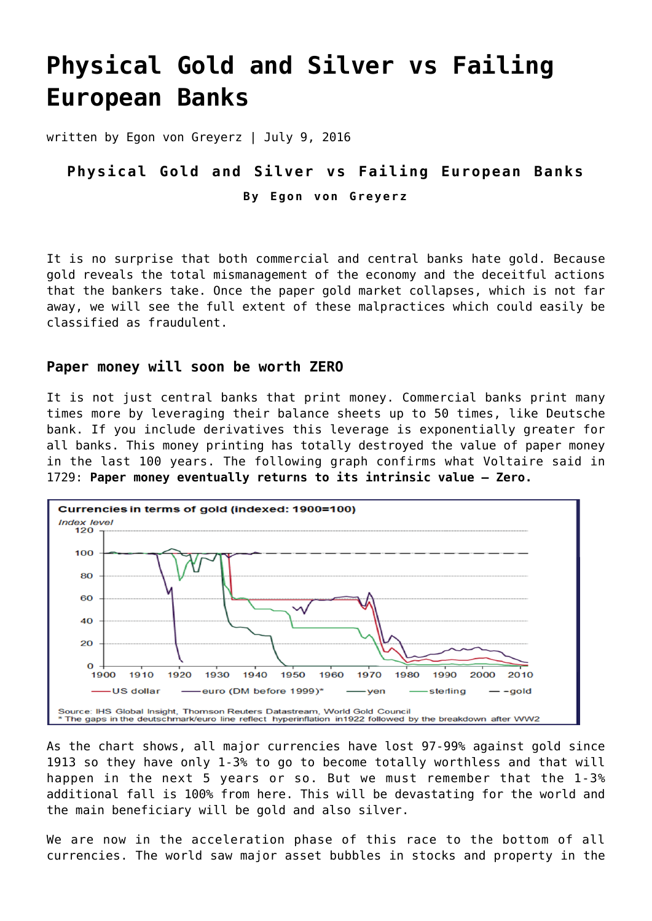# **[Physical Gold and Silver vs Failing](https://goldswitzerland.com/physical-gold-and-silver-vs-failing-european-banks/) [European Banks](https://goldswitzerland.com/physical-gold-and-silver-vs-failing-european-banks/)**

written by Egon von Greyerz | July 9, 2016

## **Physical Gold and Silver vs Failing European Banks By Egon von Greyerz**

It is no surprise that both commercial and central banks hate gold. Because gold reveals the total mismanagement of the economy and the deceitful actions that the bankers take. Once the paper gold market collapses, which is not far away, we will see the full extent of these malpractices which could easily be classified as fraudulent.

#### **Paper money will soon be worth ZERO**

It is not just central banks that print money. Commercial banks print many times more by leveraging their balance sheets up to 50 times, like Deutsche bank. If you include derivatives this leverage is exponentially greater for all banks. This money printing has totally destroyed the value of paper money in the last 100 years. The following graph confirms what Voltaire said in 1729: **Paper money eventually returns to its intrinsic value – Zero.**



As the chart shows, all major currencies have lost 97-99% against gold since 1913 so they have only 1-3% to go to become totally worthless and that will happen in the next 5 years or so. But we must remember that the 1-3% additional fall is 100% from here. This will be devastating for the world and the main beneficiary will be gold and also silver.

We are now in the acceleration phase of this race to the bottom of all currencies. The world saw major asset bubbles in stocks and property in the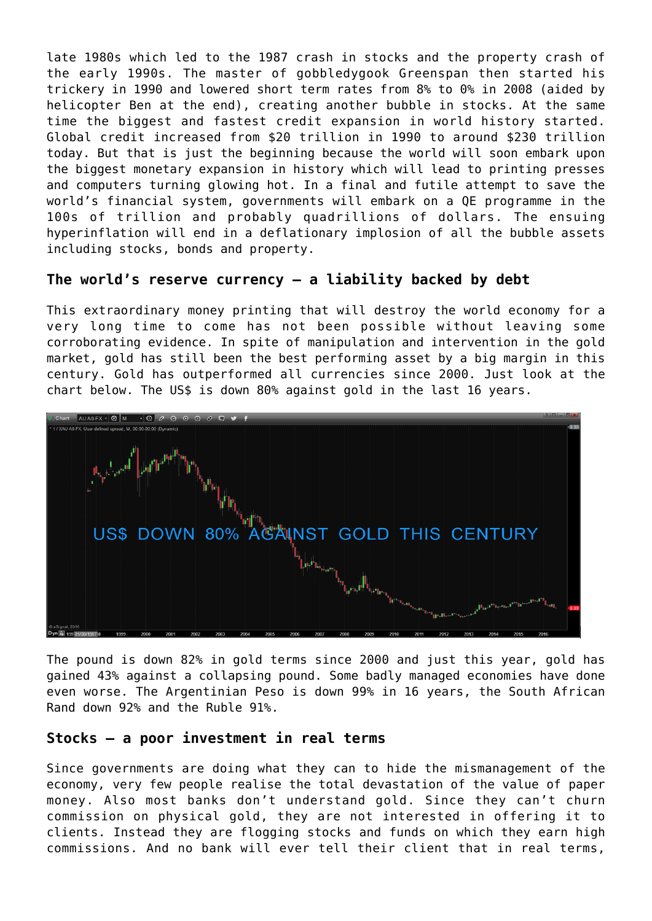late 1980s which led to the 1987 crash in stocks and the property crash of the early 1990s. The master of gobbledygook Greenspan then started his trickery in 1990 and lowered short term rates from 8% to 0% in 2008 (aided by helicopter Ben at the end), creating another bubble in stocks. At the same time the biggest and fastest credit expansion in world history started. Global credit increased from \$20 trillion in 1990 to around \$230 trillion today. But that is just the beginning because the world will soon embark upon the biggest monetary expansion in history which will lead to printing presses and computers turning glowing hot. In a final and futile attempt to save the world's financial system, governments will embark on a QE programme in the 100s of trillion and probably quadrillions of dollars. The ensuing hyperinflation will end in a deflationary implosion of all the bubble assets including stocks, bonds and property.

#### **The world's reserve currency – a liability backed by debt**

This extraordinary money printing that will destroy the world economy for a very long time to come has not been possible without leaving some corroborating evidence. In spite of manipulation and intervention in the gold market, gold has still been the best performing asset by a big margin in this century. Gold has outperformed all currencies since 2000. Just look at the chart below. The US\$ is down 80% against gold in the last 16 years.



The pound is down 82% in gold terms since 2000 and just this year, gold has gained 43% against a collapsing pound. Some badly managed economies have done even worse. The Argentinian Peso is down 99% in 16 years, the South African Rand down 92% and the Ruble 91%.

#### **Stocks – a poor investment in real terms**

Since governments are doing what they can to hide the mismanagement of the economy, very few people realise the total devastation of the value of paper money. Also most banks don't understand gold. Since they can't churn commission on physical gold, they are not interested in offering it to clients. Instead they are flogging stocks and funds on which they earn high commissions. And no bank will ever tell their client that in real terms,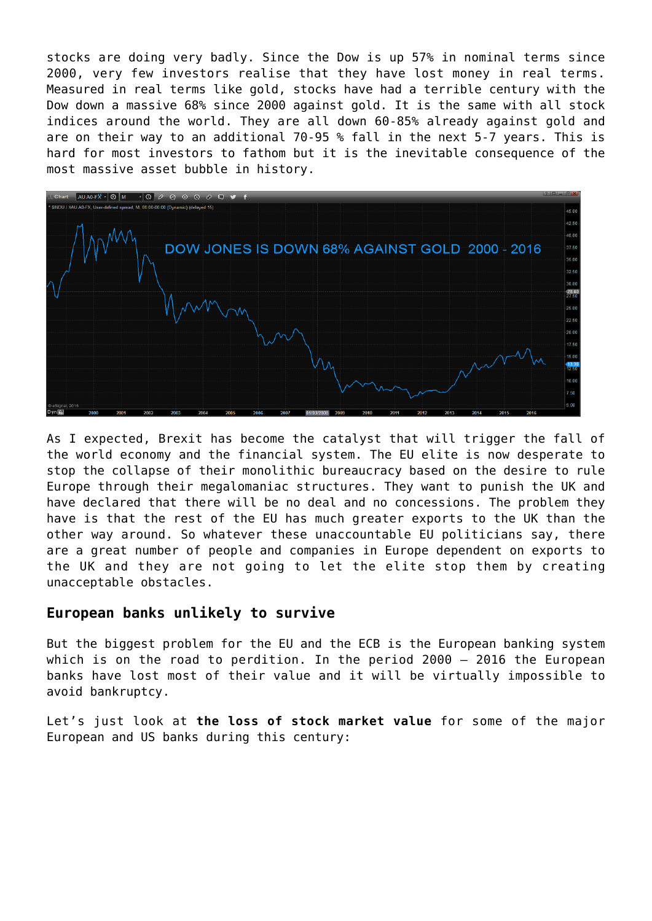stocks are doing very badly. Since the Dow is up 57% in nominal terms since 2000, very few investors realise that they have lost money in real terms. Measured in real terms like gold, stocks have had a terrible century with the Dow down a massive 68% since 2000 against gold. It is the same with all stock indices around the world. They are all down 60-85% already against gold and are on their way to an additional 70-95 % fall in the next 5-7 years. This is hard for most investors to fathom but it is the inevitable consequence of the most massive asset bubble in history.



As I expected, Brexit has become the catalyst that will trigger the fall of the world economy and the financial system. The EU elite is now desperate to stop the collapse of their monolithic bureaucracy based on the desire to rule Europe through their megalomaniac structures. They want to punish the UK and have declared that there will be no deal and no concessions. The problem they have is that the rest of the EU has much greater exports to the UK than the other way around. So whatever these unaccountable EU politicians say, there are a great number of people and companies in Europe dependent on exports to the UK and they are not going to let the elite stop them by creating unacceptable obstacles.

#### **European banks unlikely to survive**

But the biggest problem for the EU and the ECB is the European banking system which is on the road to perdition. In the period 2000 – 2016 the European banks have lost most of their value and it will be virtually impossible to avoid bankruptcy.

Let's just look at **the loss of stock market value** for some of the major European and US banks during this century: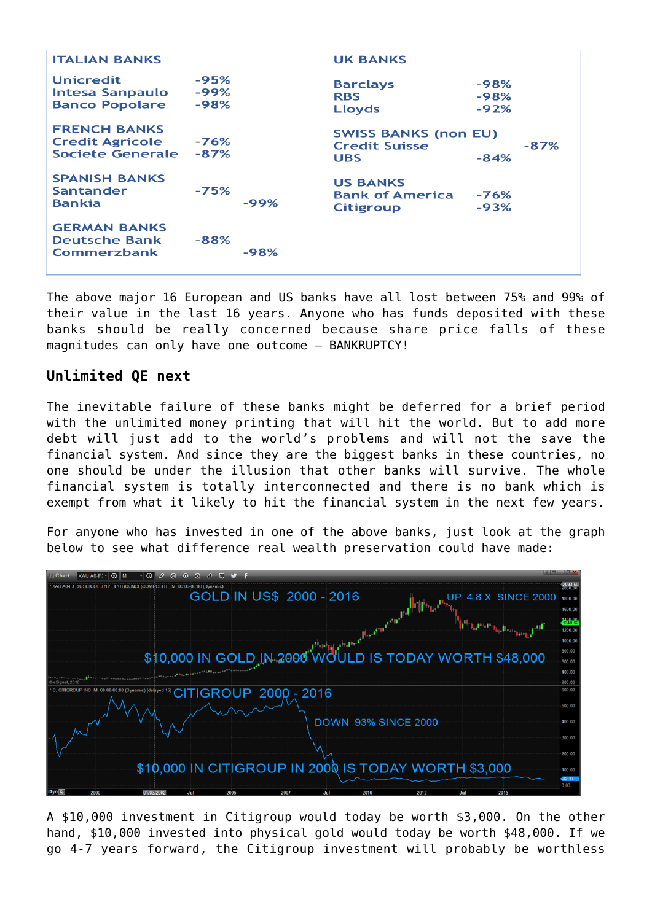| <b>ITALIAN BANKS</b>                                                     |                          |        | <b>UK BANKS</b>                                                   |                            |        |
|--------------------------------------------------------------------------|--------------------------|--------|-------------------------------------------------------------------|----------------------------|--------|
| <b>Unicredit</b><br><b>Intesa Sanpaulo</b><br><b>Banco Popolare</b>      | $-95%$<br>-99%<br>$-98%$ |        | <b>Barclays</b><br><b>RBS</b><br>Lloyds                           | $-98%$<br>$-98%$<br>$-92%$ |        |
| <b>FRENCH BANKS</b><br><b>Credit Agricole</b><br><b>Societe Generale</b> | -76%<br>$-87%$           |        | <b>SWISS BANKS (non EU)</b><br><b>Credit Suisse</b><br><b>UBS</b> | $-84%$                     | $-87%$ |
| <b>SPANISH BANKS</b><br>Santander<br><b>Bankia</b>                       | $-75%$                   | -99%   | <b>US BANKS</b><br><b>Bank of America</b><br><b>Citigroup</b>     | $-76%$<br>$-93%$           |        |
| <b>GERMAN BANKS</b><br><b>Deutsche Bank</b><br>Commerzbank               | $-88%$                   | $-98%$ |                                                                   |                            |        |

The above major 16 European and US banks have all lost between 75% and 99% of their value in the last 16 years. Anyone who has funds deposited with these banks should be really concerned because share price falls of these magnitudes can only have one outcome – BANKRUPTCY!

### **Unlimited QE next**

The inevitable failure of these banks might be deferred for a brief period with the unlimited money printing that will hit the world. But to add more debt will just add to the world's problems and will not the save the financial system. And since they are the biggest banks in these countries, no one should be under the illusion that other banks will survive. The whole financial system is totally interconnected and there is no bank which is exempt from what it likely to hit the financial system in the next few years.

For anyone who has invested in one of the above banks, just look at the graph below to see what difference real wealth preservation could have made:



A \$10,000 investment in Citigroup would today be worth \$3,000. On the other hand, \$10,000 invested into physical gold would today be worth \$48,000. If we go 4-7 years forward, the Citigroup investment will probably be worthless